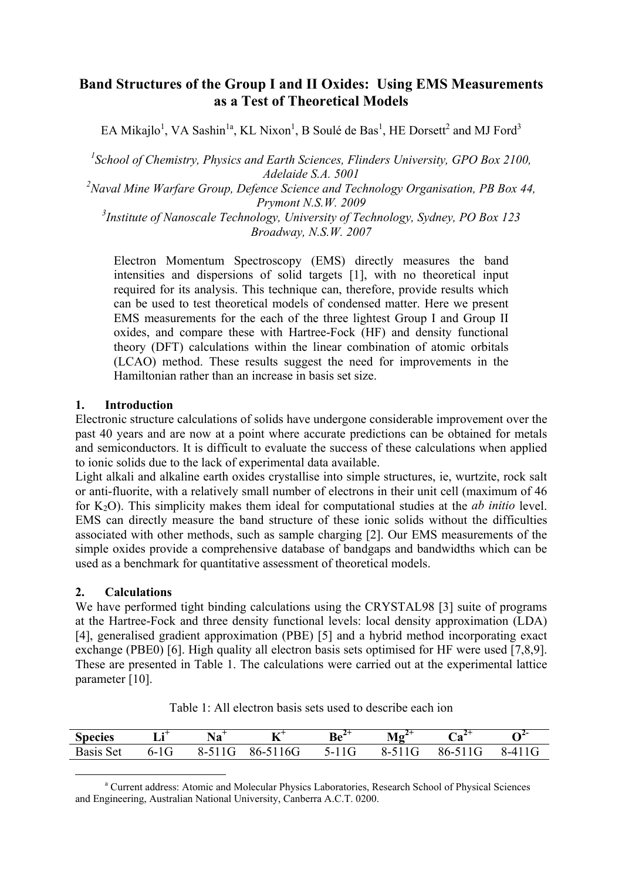# **Band Structures of the Group I and II Oxides: Using EMS Measurements as a Test of Theoretical Models**

EA Mikajlo<sup>1</sup>, VA Sashin<sup>1a</sup>, KL Nixon<sup>1</sup>, B Soulé de Bas<sup>1</sup>, HE Dorsett<sup>2</sup> and MJ Ford<sup>3</sup>

<sup>1</sup> School of Chemistry, Physics and Earth Sciences, Flinders University, GPO Box 2100, *Adelaide S.A. 5001* 

*2 Naval Mine Warfare Group, Defence Science and Technology Organisation, PB Box 44, Prymont N.S.W. 2009* 

*3 Institute of Nanoscale Technology, University of Technology, Sydney, PO Box 123 Broadway, N.S.W. 2007* 

Electron Momentum Spectroscopy (EMS) directly measures the band intensities and dispersions of solid targets [1], with no theoretical input required for its analysis. This technique can, therefore, provide results which can be used to test theoretical models of condensed matter. Here we present EMS measurements for the each of the three lightest Group I and Group II oxides, and compare these with Hartree-Fock (HF) and density functional theory (DFT) calculations within the linear combination of atomic orbitals (LCAO) method. These results suggest the need for improvements in the Hamiltonian rather than an increase in basis set size.

#### **1. Introduction**

Electronic structure calculations of solids have undergone considerable improvement over the past 40 years and are now at a point where accurate predictions can be obtained for metals and semiconductors. It is difficult to evaluate the success of these calculations when applied to ionic solids due to the lack of experimental data available.

Light alkali and alkaline earth oxides crystallise into simple structures, ie, wurtzite, rock salt or anti-fluorite, with a relatively small number of electrons in their unit cell (maximum of 46 for K2O). This simplicity makes them ideal for computational studies at the *ab initio* level. EMS can directly measure the band structure of these ionic solids without the difficulties associated with other methods, such as sample charging [2]. Our EMS measurements of the simple oxides provide a comprehensive database of bandgaps and bandwidths which can be used as a benchmark for quantitative assessment of theoretical models.

#### **2. Calculations**

We have performed tight binding calculations using the CRYSTAL98 [3] suite of programs at the Hartree-Fock and three density functional levels: local density approximation (LDA) [4], generalised gradient approximation (PBE) [5] and a hybrid method incorporating exact exchange (PBE0) [6]. High quality all electron basis sets optimised for HF were used [7,8,9]. These are presented in Table 1. The calculations were carried out at the experimental lattice parameter [10].

| <b>Species</b>   | т.•+<br>Lu l | ' Та      | $\mathbf{K}^{\mathsf{t}}$ | $\mathbf{r}$ |                | $\mathcal{A}^-$ | $\Omega^2$ |
|------------------|--------------|-----------|---------------------------|--------------|----------------|-----------------|------------|
| <b>Basis</b> Set | $6 - 16t$    | $8 - 511$ | 16G<br>$86 - 51$          | $5-11G$      | $X-1$<br>1 C T | 86-5.           | $x - 4$    |

Table 1: All electron basis sets used to describe each ion

<span id="page-0-0"></span>a Current address: Atomic and Molecular Physics Laboratories, Research School of Physical Sciences and Engineering, Australian National University, Canberra A.C.T. 0200.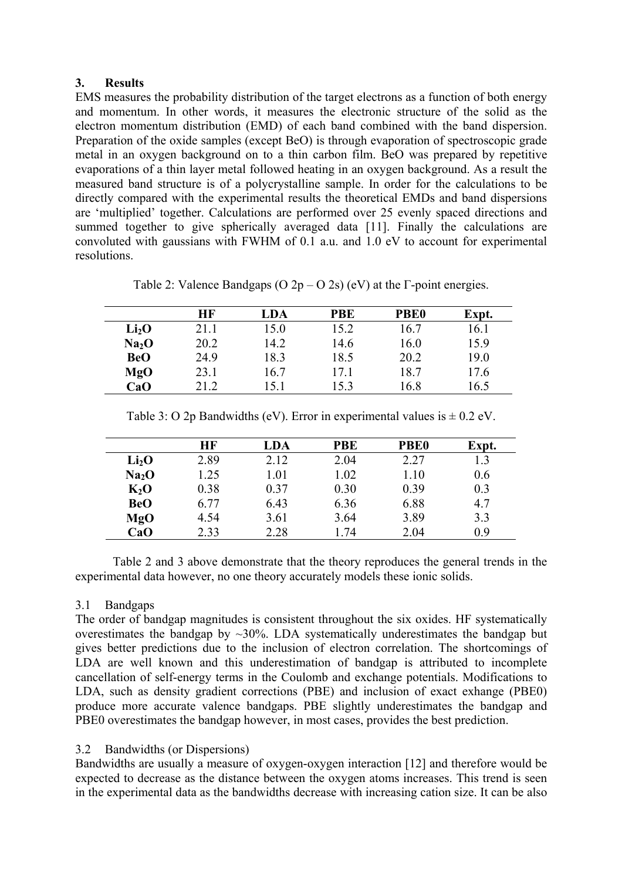### **3. Results**

EMS measures the probability distribution of the target electrons as a function of both energy and momentum. In other words, it measures the electronic structure of the solid as the electron momentum distribution (EMD) of each band combined with the band dispersion. Preparation of the oxide samples (except BeO) is through evaporation of spectroscopic grade metal in an oxygen background on to a thin carbon film. BeO was prepared by repetitive evaporations of a thin layer metal followed heating in an oxygen background. As a result the measured band structure is of a polycrystalline sample. In order for the calculations to be directly compared with the experimental results the theoretical EMDs and band dispersions are 'multiplied' together. Calculations are performed over 25 evenly spaced directions and summed together to give spherically averaged data [11]. Finally the calculations are convoluted with gaussians with FWHM of 0.1 a.u. and 1.0 eV to account for experimental resolutions.

| Table 2: Valence Bandgaps (O $2p - O$ 2s) (eV) at the $\Gamma$ -point energies. |  |  |
|---------------------------------------------------------------------------------|--|--|
|                                                                                 |  |  |

|                   | HF   | LDA  | <b>PBE</b> | <b>PBE0</b> | Expt. |
|-------------------|------|------|------------|-------------|-------|
| Li <sub>2</sub> O | 21.1 | 15.0 | 15.2       | 16.7        | 16.1  |
| Na <sub>2</sub> O | 20.2 | 14.2 | 14.6       | 16.0        | 15.9  |
| <b>BeO</b>        | 24.9 | 18.3 | 18.5       | 20.2        | 19.0  |
| MgO               | 23.1 | 16.7 | 17.1       | 18.7        | 17.6  |
| CaO               | 21.2 | 15.1 | 15.3       | 16.8        | 16.5  |

|                   | HF   | LDA  | <b>PBE</b> | <b>PBE0</b> | Expt. |
|-------------------|------|------|------------|-------------|-------|
| Li <sub>2</sub> O | 2.89 | 2.12 | 2.04       | 2.27        |       |
| Na <sub>2</sub> O | 1.25 | 1.01 | 1.02       | 1.10        | 0.6   |
| $K_2$ O           | 0.38 | 0.37 | 0.30       | 0.39        | 0.3   |
| <b>BeO</b>        | 6.77 | 6.43 | 6.36       | 6.88        | 4.7   |
| MgO               | 4.54 | 3.61 | 3.64       | 3.89        | 3.3   |
| CaO               | 2.33 | 2.28 | 1.74       | 2.04        | 09    |

Table 3: O 2p Bandwidths (eV). Error in experimental values is  $\pm$  0.2 eV.

Table 2 and 3 above demonstrate that the theory reproduces the general trends in the experimental data however, no one theory accurately models these ionic solids.

# 3.1 Bandgaps

The order of bandgap magnitudes is consistent throughout the six oxides. HF systematically overestimates the bandgap by  $\sim$ 30%. LDA systematically underestimates the bandgap but gives better predictions due to the inclusion of electron correlation. The shortcomings of LDA are well known and this underestimation of bandgap is attributed to incomplete cancellation of self-energy terms in the Coulomb and exchange potentials. Modifications to LDA, such as density gradient corrections (PBE) and inclusion of exact exhange (PBE0) produce more accurate valence bandgaps. PBE slightly underestimates the bandgap and PBE0 overestimates the bandgap however, in most cases, provides the best prediction.

# 3.2 Bandwidths (or Dispersions)

Bandwidths are usually a measure of oxygen-oxygen interaction [12] and therefore would be expected to decrease as the distance between the oxygen atoms increases. This trend is seen in the experimental data as the bandwidths decrease with increasing cation size. It can be also